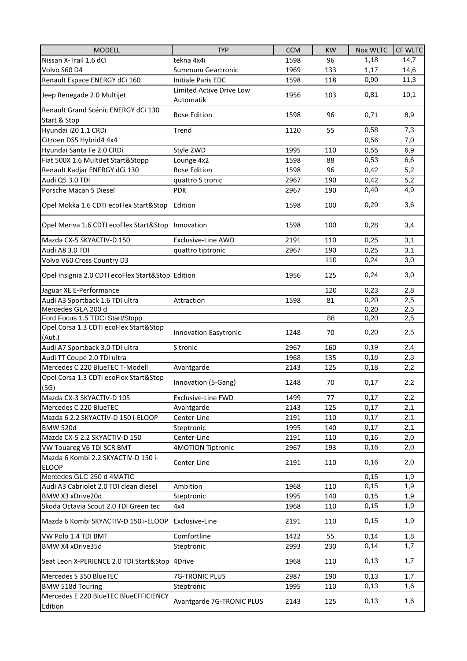| <b>MODELL</b>                                       | <b>TYP</b>                      | <b>CCM</b> | <b>KW</b> | <b>Nox WLTC</b> | CF WLTC |
|-----------------------------------------------------|---------------------------------|------------|-----------|-----------------|---------|
| Nissan X-Trail 1.6 dCi                              | tekna 4x4i                      | 1598       | 96        | 1,18            | 14,7    |
| Volvo S60 D4                                        | Summum Geartronic               | 1969       | 133       | 1,17            | 14,6    |
| Renault Espace ENERGY dCi 160                       | Initiale Paris EDC              | 1598       | 118       | 0,90            | 11,3    |
|                                                     | <b>Limited Active Drive Low</b> |            |           |                 |         |
| Jeep Renegade 2.0 Multijet                          | Automatik                       | 1956       | 103       | 0,81            | 10,1    |
| Renault Grand Scénic ENERGY dCi 130                 |                                 |            |           |                 |         |
| Start & Stop                                        | <b>Bose Edition</b>             | 1598       | 96        | 0,71            | 8,9     |
| Hyundai i20 1.1 CRDi                                | Trend                           | 1120       | 55        | 0,58            | 7,3     |
| Citroen DS5 Hybrid4 4x4                             |                                 |            |           | 0,56            | 7,0     |
| Hyundai Santa Fe 2.0 CRDi                           | Style 2WD                       | 1995       | 110       | 0,55            | 6,9     |
| Fiat 500X 1.6 MultiJet Start&Stopp                  | Lounge 4x2                      | 1598       | 88        | 0,53            | 6,6     |
| Renault Kadjar ENERGY dCi 130                       | <b>Bose Edition</b>             | 1598       | 96        | 0,42            | 5,2     |
| Audi Q5 3.0 TDI                                     | quattro S tronic                | 2967       | 190       | 0,42            | 5,2     |
| Porsche Macan S Diesel                              | <b>PDK</b>                      | 2967       | 190       | 0,40            | 4,9     |
|                                                     |                                 |            |           |                 |         |
| Opel Mokka 1.6 CDTI ecoFlex Start&Stop Edition      |                                 | 1598       | 100       | 0,29            | 3,6     |
| Opel Meriva 1.6 CDTI ecoFlex Start&Stop Innovation  |                                 | 1598       | 100       | 0,28            | 3,4     |
| Mazda CX-5 SKYACTIV-D 150                           | Exclusive-Line AWD              | 2191       | 110       | 0,25            | 3,1     |
| Audi A8 3.0 TDI                                     | quattro tiptronic               | 2967       | 190       | 0,25            | 3,1     |
| Volvo V60 Cross Country D3                          |                                 |            | 110       | 0,24            | 3,0     |
|                                                     |                                 |            |           |                 |         |
| Opel Insignia 2.0 CDTI ecoFlex Start&Stop Edition   |                                 | 1956       | 125       | 0,24            | 3,0     |
| Jaguar XE E-Performance                             |                                 |            | 120       | 0,23            | 2,8     |
| Audi A3 Sportback 1.6 TDI ultra                     | Attraction                      | 1598       | 81        | 0,20            | 2,5     |
| Mercedes GLA 200 d                                  |                                 |            |           | 0,20            | 2,5     |
| Ford Focus 1.5 TDCi Start/Stopp                     |                                 |            | 88        | 0,20            | 2,5     |
| Opel Corsa 1.3 CDTI ecoFlex Start&Stop<br>(Aut.)    | <b>Innovation Easytronic</b>    | 1248       | 70        | 0,20            | 2,5     |
| Audi A7 Sportback 3.0 TDI ultra                     | S tronic                        | 2967       | 160       | 0,19            | 2,4     |
| Audi TT Coupé 2.0 TDI ultra                         |                                 | 1968       | 135       | 0,18            | 2,3     |
| Mercedes C 220 BlueTEC T-Modell                     | Avantgarde                      | 2143       | 125       | 0,18            | 2,2     |
| Opel Corsa 1.3 CDTI ecoFlex Start&Stop              |                                 |            |           |                 |         |
| (5G)                                                | Innovation (5-Gang)             | 1248       | 70        | 0,17            | 2,2     |
| Mazda CX-3 SKYACTIV-D 105                           | Exclusive-Line FWD              | 1499       | 77        | 0,17            | 2,2     |
| Mercedes C 220 BlueTEC                              | Avantgarde                      | 2143       | 125       | 0,17            | 2,1     |
| Mazda 6 2.2 SKYACTIV-D 150 i-ELOOP                  | Center-Line                     | 2191       | 110       | 0,17            | 2,1     |
| <b>BMW 520d</b>                                     | Steptronic                      | 1995       | 140       | 0,17            | 2,1     |
| Mazda CX-5 2.2 SKYACTIV-D 150                       | Center-Line                     | 2191       | 110       | 0,16            | 2,0     |
| VW Touareg V6 TDI SCR BMT                           | 4MOTION Tiptronic               | 2967       | 193       | 0,16            | 2,0     |
| Mazda 6 Kombi 2.2 SKYACTIV-D 150 i-                 |                                 |            |           |                 |         |
| <b>ELOOP</b>                                        | Center-Line                     | 2191       | 110       | 0,16            | 2,0     |
| Mercedes GLC 250 d 4MATIC                           |                                 |            |           | 0,15            | 1,9     |
| Audi A3 Cabriolet 2.0 TDI clean diesel              | Ambition                        | 1968       | 110       | 0,15            | 1,9     |
| BMW X3 xDrive20d                                    | Steptronic                      | 1995       | 140       | 0,15            | 1,9     |
| Skoda Octavia Scout 2.0 TDI Green tec               | 4x4                             | 1968       | 110       | 0,15            | 1,9     |
| Mazda 6 Kombi SKYACTIV-D 150 i-ELOOP Exclusive-Line |                                 | 2191       | 110       | 0,15            | 1,9     |
|                                                     |                                 |            |           |                 |         |
| VW Polo 1.4 TDI BMT                                 | Comfortline                     | 1422       | 55        | 0,14            | 1,8     |
| BMW X4 xDrive35d                                    | Steptronic                      | 2993       | 230       | 0,14            | 1,7     |
| Seat Leon X-PERIENCE 2.0 TDI Start&Stop 4Drive      |                                 | 1968       | 110       | 0,13            | 1,7     |
| Mercedes S 350 BlueTEC                              | <b>7G-TRONIC PLUS</b>           | 2987       | 190       | 0,13            | 1,7     |
| <b>BMW 518d Touring</b>                             | Steptronic                      | 1995       | 110       | 0,13            | 1,6     |
| Mercedes E 220 BlueTEC BlueEFFICIENCY<br>Edition    | Avantgarde 7G-TRONIC PLUS       | 2143       | 125       | 0,13            | 1,6     |